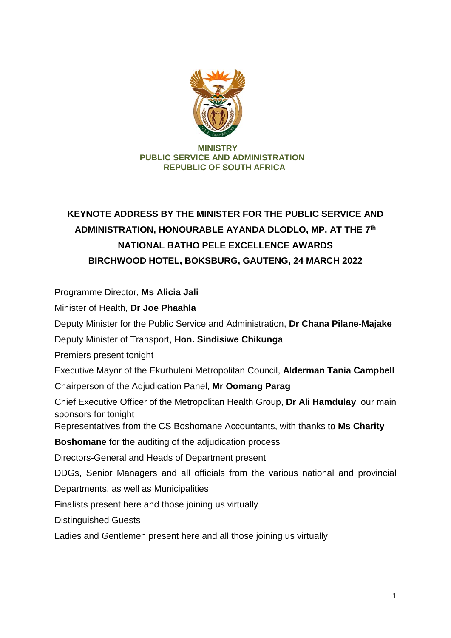

## **MINISTRY PUBLIC SERVICE AND ADMINISTRATION REPUBLIC OF SOUTH AFRICA**

## **KEYNOTE ADDRESS BY THE MINISTER FOR THE PUBLIC SERVICE AND ADMINISTRATION, HONOURABLE AYANDA DLODLO, MP, AT THE 7th NATIONAL BATHO PELE EXCELLENCE AWARDS BIRCHWOOD HOTEL, BOKSBURG, GAUTENG, 24 MARCH 2022**

Programme Director, **Ms Alicia Jali**

Minister of Health, **Dr Joe Phaahla**

Deputy Minister for the Public Service and Administration, **Dr Chana Pilane-Majake**

Deputy Minister of Transport, **Hon. Sindisiwe Chikunga**

Premiers present tonight

Executive Mayor of the Ekurhuleni Metropolitan Council, **Alderman Tania Campbell**

Chairperson of the Adjudication Panel, **Mr Oomang Parag**

Chief Executive Officer of the Metropolitan Health Group, **Dr Ali Hamdulay**, our main sponsors for tonight

Representatives from the CS Boshomane Accountants, with thanks to **Ms Charity** 

**Boshomane** for the auditing of the adjudication process

Directors-General and Heads of Department present

DDGs, Senior Managers and all officials from the various national and provincial Departments, as well as Municipalities

Finalists present here and those joining us virtually

Distinguished Guests

Ladies and Gentlemen present here and all those joining us virtually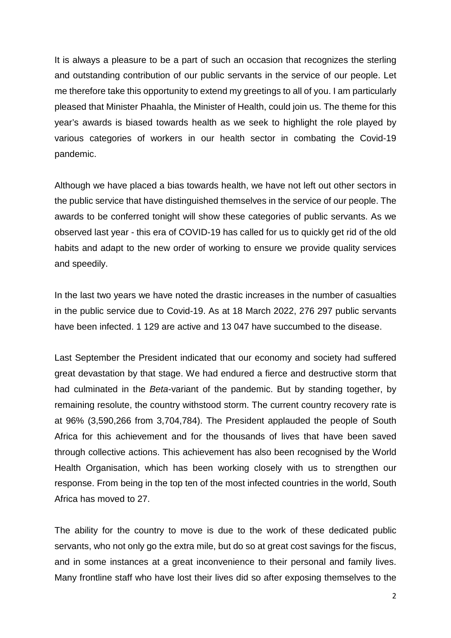It is always a pleasure to be a part of such an occasion that recognizes the sterling and outstanding contribution of our public servants in the service of our people. Let me therefore take this opportunity to extend my greetings to all of you. I am particularly pleased that Minister Phaahla, the Minister of Health, could join us. The theme for this year's awards is biased towards health as we seek to highlight the role played by various categories of workers in our health sector in combating the Covid-19 pandemic.

Although we have placed a bias towards health, we have not left out other sectors in the public service that have distinguished themselves in the service of our people. The awards to be conferred tonight will show these categories of public servants. As we observed last year - this era of COVID-19 has called for us to quickly get rid of the old habits and adapt to the new order of working to ensure we provide quality services and speedily.

In the last two years we have noted the drastic increases in the number of casualties in the public service due to Covid-19. As at 18 March 2022, 276 297 public servants have been infected. 1 129 are active and 13 047 have succumbed to the disease.

Last September the President indicated that our economy and society had suffered great devastation by that stage. We had endured a fierce and destructive storm that had culminated in the *Beta*-variant of the pandemic. But by standing together, by remaining resolute, the country withstood storm. The current country recovery rate is at 96% (3,590,266 from 3,704,784). The President applauded the people of South Africa for this achievement and for the thousands of lives that have been saved through collective actions. This achievement has also been recognised by the World Health Organisation, which has been working closely with us to strengthen our response. From being in the top ten of the most infected countries in the world, South Africa has moved to 27.

The ability for the country to move is due to the work of these dedicated public servants, who not only go the extra mile, but do so at great cost savings for the fiscus, and in some instances at a great inconvenience to their personal and family lives. Many frontline staff who have lost their lives did so after exposing themselves to the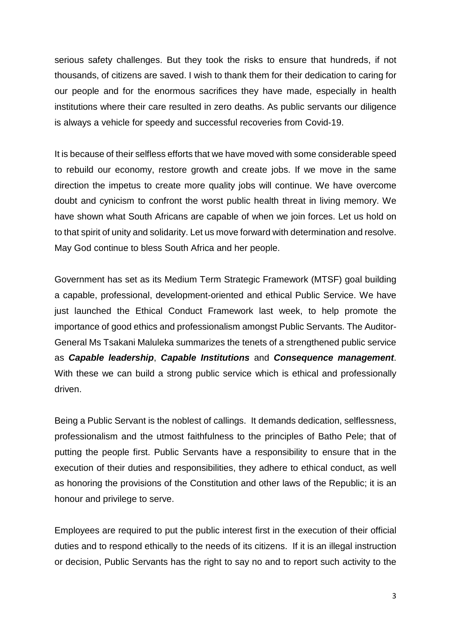serious safety challenges. But they took the risks to ensure that hundreds, if not thousands, of citizens are saved. I wish to thank them for their dedication to caring for our people and for the enormous sacrifices they have made, especially in health institutions where their care resulted in zero deaths. As public servants our diligence is always a vehicle for speedy and successful recoveries from Covid-19.

It is because of their selfless efforts that we have moved with some considerable speed to rebuild our economy, restore growth and create jobs. If we move in the same direction the impetus to create more quality jobs will continue. We have overcome doubt and cynicism to confront the worst public health threat in living memory. We have shown what South Africans are capable of when we join forces. Let us hold on to that spirit of unity and solidarity. Let us move forward with determination and resolve. May God continue to bless South Africa and her people.

Government has set as its Medium Term Strategic Framework (MTSF) goal building a capable, professional, development-oriented and ethical Public Service. We have just launched the Ethical Conduct Framework last week, to help promote the importance of good ethics and professionalism amongst Public Servants. The Auditor-General Ms Tsakani Maluleka summarizes the tenets of a strengthened public service as *Capable leadership*, *Capable Institutions* and *Consequence management*. With these we can build a strong public service which is ethical and professionally driven.

Being a Public Servant is the noblest of callings. It demands dedication, selflessness, professionalism and the utmost faithfulness to the principles of Batho Pele; that of putting the people first. Public Servants have a responsibility to ensure that in the execution of their duties and responsibilities, they adhere to ethical conduct, as well as honoring the provisions of the Constitution and other laws of the Republic; it is an honour and privilege to serve.

Employees are required to put the public interest first in the execution of their official duties and to respond ethically to the needs of its citizens. If it is an illegal instruction or decision, Public Servants has the right to say no and to report such activity to the